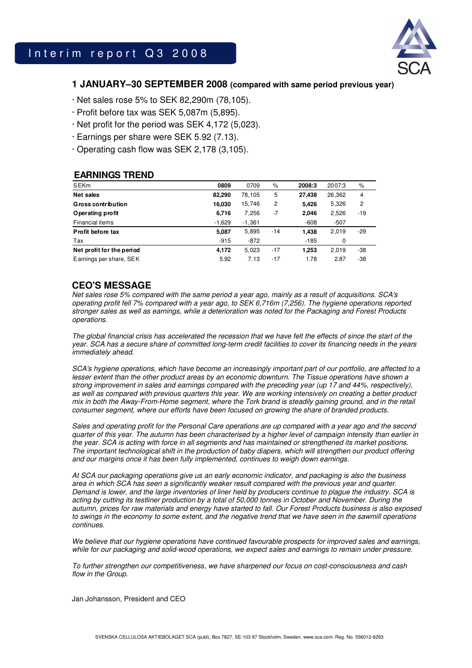

## **1 JANUARY–30 SEPTEMBER 2008 (compared with same period previous year)**

- · Net sales rose 5% to SEK 82,290m (78,105).
- · Profit before tax was SEK 5,087m (5,895).
- · Net profit for the period was SEK 4,172 (5,023).
- · Earnings per share were SEK 5.92 (7.13).
- · Operating cash flow was SEK 2,178 (3,105).

### **EARNINGS TREND**

| <b>SEKm</b>               | 0809     | 0709     | %     | 2008:3 | 2007:3 | %     |
|---------------------------|----------|----------|-------|--------|--------|-------|
| Net sales                 | 82,290   | 78,105   | 5     | 27.438 | 26,362 | 4     |
| <b>Gross contribution</b> | 16,030   | 15,746   | 2     | 5,426  | 5,326  | 2     |
| Operating profit          | 6,716    | 7,256    | -7    | 2.046  | 2,526  | $-19$ |
| Financial items           | $-1,629$ | $-1,361$ |       | $-608$ | $-507$ |       |
| Profit before tax         | 5,087    | 5,895    | $-14$ | 1.438  | 2,019  | -29   |
| Tax                       | $-915$   | -872     |       | -185   | 0      |       |
| Net profit for the period | 4,172    | 5,023    | $-17$ | 1,253  | 2,019  | -38   |
| Earnings per share, SEK   | 5.92     | 7.13     | $-17$ | 1.78   | 2.87   | -38   |

## **CEO'S MESSAGE**

Net sales rose 5% compared with the same period a year ago, mainly as a result of acquisitions. SCA's operating profit fell 7% compared with a year ago, to SEK 6,716m (7,256). The hygiene operations reported stronger sales as well as earnings, while a deterioration was noted for the Packaging and Forest Products operations.

The global financial crisis has accelerated the recession that we have felt the effects of since the start of the year. SCA has a secure share of committed long-term credit facilities to cover its financing needs in the years immediately ahead.

SCA's hygiene operations, which have become an increasingly important part of our portfolio, are affected to a lesser extent than the other product areas by an economic downturn. The Tissue operations have shown a strong improvement in sales and earnings compared with the preceding year (up 17 and 44%, respectively), as well as compared with previous quarters this year. We are working intensively on creating a better product mix in both the Away-From-Home segment, where the Tork brand is steadily gaining ground, and in the retail consumer segment, where our efforts have been focused on growing the share of branded products.

Sales and operating profit for the Personal Care operations are up compared with a year ago and the second quarter of this year. The autumn has been characterised by a higher level of campaign intensity than earlier in the year. SCA is acting with force in all segments and has maintained or strengthened its market positions. The important technological shift in the production of baby diapers, which will strengthen our product offering and our margins once it has been fully implemented, continues to weigh down earnings.

At SCA our packaging operations give us an early economic indicator, and packaging is also the business area in which SCA has seen a significantly weaker result compared with the previous year and quarter. Demand is lower, and the large inventories of liner held by producers continue to plague the industry. SCA is acting by cutting its testliner production by a total of 50,000 tonnes in October and November. During the autumn, prices for raw materials and energy have started to fall. Our Forest Products business is also exposed to swings in the economy to some extent, and the negative trend that we have seen in the sawmill operations continues.

We believe that our hygiene operations have continued favourable prospects for improved sales and earnings, while for our packaging and solid-wood operations, we expect sales and earnings to remain under pressure.

To further strengthen our competitiveness, we have sharpened our focus on cost-consciousness and cash flow in the Group.

Jan Johansson, President and CEO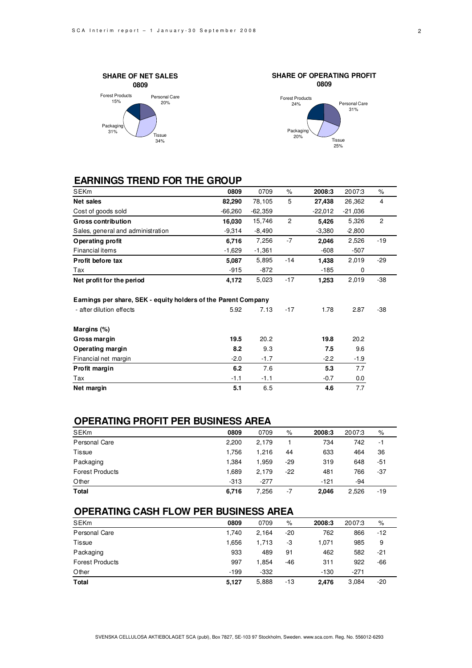



## **EARNINGS TREND FOR THE GROUP**

| <b>SEKm</b>                                                    | 0809      | 0709      | $\%$  | 2008:3    | 2007:3    | %              |
|----------------------------------------------------------------|-----------|-----------|-------|-----------|-----------|----------------|
| <b>Net sales</b>                                               | 82,290    | 78,105    | 5     | 27,438    | 26,362    | 4              |
| Cost of goods sold                                             | $-66,260$ | $-62,359$ |       | $-22,012$ | $-21,036$ |                |
| <b>Gross contribution</b>                                      | 16,030    | 15,746    | 2     | 5.426     | 5,326     | $\overline{2}$ |
| Sales, general and administration                              | $-9,314$  | $-8,490$  |       | $-3,380$  | $-2,800$  |                |
| Operating profit                                               | 6,716     | 7,256     | $-7$  | 2,046     | 2,526     | $-19$          |
| <b>Financial items</b>                                         | $-1,629$  | $-1,361$  |       | $-608$    | $-507$    |                |
| Profit before tax                                              | 5,087     | 5,895     | $-14$ | 1,438     | 2,019     | $-29$          |
| Tax                                                            | $-915$    | $-872$    |       | $-185$    | 0         |                |
| Net profit for the period                                      | 4,172     | 5,023     | $-17$ | 1,253     | 2,019     | -38            |
| Earnings per share, SEK - equity holders of the Parent Company |           |           |       |           |           |                |
|                                                                |           |           |       |           |           |                |
| - after dilution effects                                       | 5.92      | 7.13      | $-17$ | 1.78      | 2.87      | -38            |
| Margins (%)                                                    |           |           |       |           |           |                |
| Gross margin                                                   | 19.5      | 20.2      |       | 19.8      | 20.2      |                |
| Operating margin                                               | 8.2       | 9.3       |       | 7.5       | 9.6       |                |
| Financial net margin                                           | $-2.0$    | $-1.7$    |       | $-2.2$    | $-1.9$    |                |
| Profit margin                                                  | 6.2       | 7.6       |       | 5.3       | 7.7       |                |
| Tax                                                            | $-1.1$    | $-1.1$    |       | $-0.7$    | $0.0\,$   |                |

## **OPERATING PROFIT PER BUSINESS AREA**

| <b>SEKm</b>            | 0809   | 0709   | %   | 2008:3 | 2007:3 | %   |
|------------------------|--------|--------|-----|--------|--------|-----|
| Personal Care          | 2,200  | 2.179  |     | 734    | 742    | -1  |
| Tissue                 | 1.756  | 1.216  | 44  | 633    | 464    | 36  |
| Packaging              | 1.384  | 1.959  | -29 | 319    | 648    | -51 |
| <b>Forest Products</b> | 1.689  | 2.179  | -22 | 481    | 766    | -37 |
| Other                  | $-313$ | $-277$ |     | $-121$ | -94    |     |
| <b>Total</b>           | 6,716  | 7,256  | -7  | 2.046  | 2,526  | -19 |

## **OPERATING CASH FLOW PER BUSINESS AREA**

| <b>SEKm</b>            | 0809   | 0709   | %     | 2008:3 | 2007:3 | %     |  |
|------------------------|--------|--------|-------|--------|--------|-------|--|
| Personal Care          | 1.740  | 2.164  | $-20$ | 762    | 866    | $-12$ |  |
| Tissue                 | 1.656  | 1.713  | -3    | 1.071  | 985    | 9     |  |
| Packaging              | 933    | 489    | 91    | 462    | 582    | -21   |  |
| <b>Forest Products</b> | 997    | 1.854  | -46   | 311    | 922    | -66   |  |
| Other                  | $-199$ | $-332$ |       | $-130$ | $-271$ |       |  |
| <b>Total</b>           | 5,127  | 5,888  | -13   | 2,476  | 3,084  | -20   |  |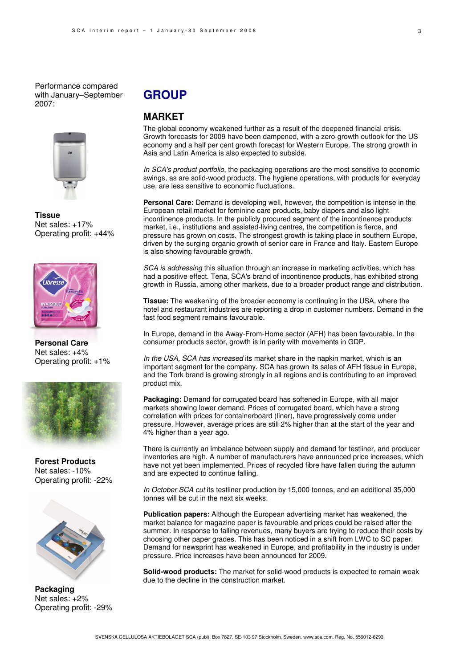Performance compared with January–September 2007:



**Tissue** Net sales: +17% Operating profit: +44%



**Personal Care**  Net sales: +4% Operating profit: +1%



**Forest Products**  Net sales: -10% Operating profit: -22%



**Packaging**  Net sales: +2% Operating profit: -29%

# **GROUP**

## **MARKET**

The global economy weakened further as a result of the deepened financial crisis. Growth forecasts for 2009 have been dampened, with a zero-growth outlook for the US economy and a half per cent growth forecast for Western Europe. The strong growth in Asia and Latin America is also expected to subside.

In SCA's product portfolio, the packaging operations are the most sensitive to economic swings, as are solid-wood products. The hygiene operations, with products for everyday use, are less sensitive to economic fluctuations.

**Personal Care:** Demand is developing well, however, the competition is intense in the European retail market for feminine care products, baby diapers and also light incontinence products. In the publicly procured segment of the incontinence products market, i.e., institutions and assisted-living centres, the competition is fierce, and pressure has grown on costs. The strongest growth is taking place in southern Europe, driven by the surging organic growth of senior care in France and Italy. Eastern Europe is also showing favourable growth.

SCA is addressing this situation through an increase in marketing activities, which has had a positive effect. Tena, SCA's brand of incontinence products, has exhibited strong growth in Russia, among other markets, due to a broader product range and distribution.

**Tissue:** The weakening of the broader economy is continuing in the USA, where the hotel and restaurant industries are reporting a drop in customer numbers. Demand in the fast food segment remains favourable.

In Europe, demand in the Away-From-Home sector (AFH) has been favourable. In the consumer products sector, growth is in parity with movements in GDP.

In the USA, SCA has increased its market share in the napkin market, which is an important segment for the company. SCA has grown its sales of AFH tissue in Europe, and the Tork brand is growing strongly in all regions and is contributing to an improved product mix.

**Packaging:** Demand for corrugated board has softened in Europe, with all major markets showing lower demand. Prices of corrugated board, which have a strong correlation with prices for containerboard (liner), have progressively come under pressure. However, average prices are still 2% higher than at the start of the year and 4% higher than a year ago.

There is currently an imbalance between supply and demand for testliner, and producer inventories are high. A number of manufacturers have announced price increases, which have not yet been implemented. Prices of recycled fibre have fallen during the autumn and are expected to continue falling.

In October SCA cut its testliner production by 15,000 tonnes, and an additional 35,000 tonnes will be cut in the next six weeks.

**Publication papers:** Although the European advertising market has weakened, the market balance for magazine paper is favourable and prices could be raised after the summer. In response to falling revenues, many buyers are trying to reduce their costs by choosing other paper grades. This has been noticed in a shift from LWC to SC paper. Demand for newsprint has weakened in Europe, and profitability in the industry is under pressure. Price increases have been announced for 2009.

**Solid-wood products:** The market for solid-wood products is expected to remain weak due to the decline in the construction market.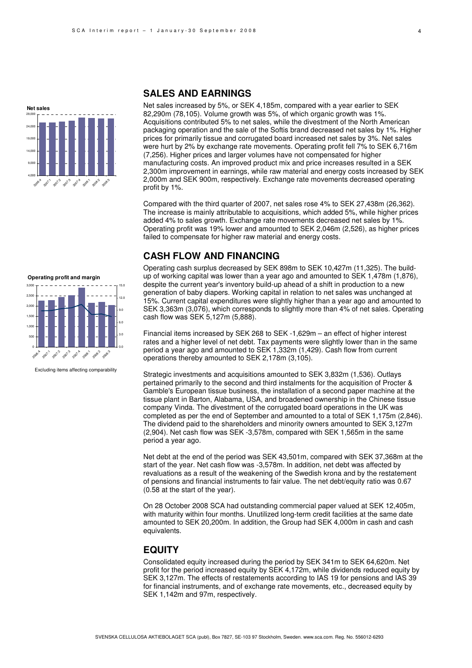

## **SALES AND EARNINGS**

Net sales increased by 5%, or SEK 4,185m, compared with a year earlier to SEK 82,290m (78,105). Volume growth was 5%, of which organic growth was 1%. Acquisitions contributed 5% to net sales, while the divestment of the North American packaging operation and the sale of the Softis brand decreased net sales by 1%. Higher prices for primarily tissue and corrugated board increased net sales by 3%. Net sales were hurt by 2% by exchange rate movements. Operating profit fell 7% to SEK 6,716m (7,256). Higher prices and larger volumes have not compensated for higher manufacturing costs. An improved product mix and price increases resulted in a SEK 2,300m improvement in earnings, while raw material and energy costs increased by SEK 2,000m and SEK 900m, respectively. Exchange rate movements decreased operating profit by 1%.

Compared with the third quarter of 2007, net sales rose 4% to SEK 27,438m (26,362). The increase is mainly attributable to acquisitions, which added 5%, while higher prices added 4% to sales growth. Exchange rate movements decreased net sales by 1%. Operating profit was 19% lower and amounted to SEK 2,046m (2,526), as higher prices failed to compensate for higher raw material and energy costs.

## **CASH FLOW AND FINANCING**

Operating cash surplus decreased by SEK 898m to SEK 10,427m (11,325). The buildup of working capital was lower than a year ago and amounted to SEK 1,478m (1,876), despite the current year's inventory build-up ahead of a shift in production to a new generation of baby diapers. Working capital in relation to net sales was unchanged at 15%. Current capital expenditures were slightly higher than a year ago and amounted to SEK 3,363m (3,076), which corresponds to slightly more than 4% of net sales. Operating cash flow was SEK 5,127m (5,888).

Financial items increased by SEK 268 to SEK -1,629m – an effect of higher interest rates and a higher level of net debt. Tax payments were slightly lower than in the same period a year ago and amounted to SEK 1,332m (1,429). Cash flow from current operations thereby amounted to SEK 2,178m (3,105).

Strategic investments and acquisitions amounted to SEK 3,832m (1,536). Outlays pertained primarily to the second and third instalments for the acquisition of Procter & Gamble's European tissue business, the installation of a second paper machine at the tissue plant in Barton, Alabama, USA, and broadened ownership in the Chinese tissue company Vinda. The divestment of the corrugated board operations in the UK was completed as per the end of September and amounted to a total of SEK 1,175m (2,846). The dividend paid to the shareholders and minority owners amounted to SEK 3,127m (2,904). Net cash flow was SEK -3,578m, compared with SEK 1,565m in the same period a year ago.

Net debt at the end of the period was SEK 43,501m, compared with SEK 37,368m at the start of the year. Net cash flow was -3,578m. In addition, net debt was affected by revaluations as a result of the weakening of the Swedish krona and by the restatement of pensions and financial instruments to fair value. The net debt/equity ratio was 0.67 (0.58 at the start of the year).

On 28 October 2008 SCA had outstanding commercial paper valued at SEK 12,405m, with maturity within four months. Unutilized long-term credit facilities at the same date amounted to SEK 20,200m. In addition, the Group had SEK 4,000m in cash and cash equivalents.

#### **EQUITY**

Consolidated equity increased during the period by SEK 341m to SEK 64,620m. Net profit for the period increased equity by SEK 4,172m, while dividends reduced equity by SEK 3,127m. The effects of restatements according to IAS 19 for pensions and IAS 39 for financial instruments, and of exchange rate movements, etc., decreased equity by SEK 1,142m and 97m, respectively.





Excluding items affecting comparability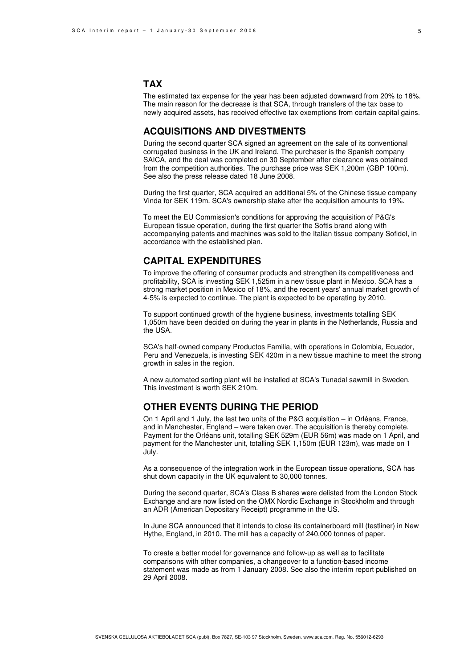## **TAX**

The estimated tax expense for the year has been adjusted downward from 20% to 18%. The main reason for the decrease is that SCA, through transfers of the tax base to newly acquired assets, has received effective tax exemptions from certain capital gains.

### **ACQUISITIONS AND DIVESTMENTS**

During the second quarter SCA signed an agreement on the sale of its conventional corrugated business in the UK and Ireland. The purchaser is the Spanish company SAICA, and the deal was completed on 30 September after clearance was obtained from the competition authorities. The purchase price was SEK 1,200m (GBP 100m). See also the press release dated 18 June 2008.

During the first quarter, SCA acquired an additional 5% of the Chinese tissue company Vinda for SEK 119m. SCA's ownership stake after the acquisition amounts to 19%.

To meet the EU Commission's conditions for approving the acquisition of P&G's European tissue operation, during the first quarter the Softis brand along with accompanying patents and machines was sold to the Italian tissue company Sofidel, in accordance with the established plan.

### **CAPITAL EXPENDITURES**

To improve the offering of consumer products and strengthen its competitiveness and profitability, SCA is investing SEK 1,525m in a new tissue plant in Mexico. SCA has a strong market position in Mexico of 18%, and the recent years' annual market growth of 4-5% is expected to continue. The plant is expected to be operating by 2010.

To support continued growth of the hygiene business, investments totalling SEK 1,050m have been decided on during the year in plants in the Netherlands, Russia and the USA.

SCA's half-owned company Productos Familia, with operations in Colombia, Ecuador, Peru and Venezuela, is investing SEK 420m in a new tissue machine to meet the strong growth in sales in the region.

A new automated sorting plant will be installed at SCA's Tunadal sawmill in Sweden. This investment is worth SEK 210m.

## **OTHER EVENTS DURING THE PERIOD**

On 1 April and 1 July, the last two units of the P&G acquisition – in Orléans, France, and in Manchester, England – were taken over. The acquisition is thereby complete. Payment for the Orléans unit, totalling SEK 529m (EUR 56m) was made on 1 April, and payment for the Manchester unit, totalling SEK 1,150m (EUR 123m), was made on 1 July.

As a consequence of the integration work in the European tissue operations, SCA has shut down capacity in the UK equivalent to 30,000 tonnes.

During the second quarter, SCA's Class B shares were delisted from the London Stock Exchange and are now listed on the OMX Nordic Exchange in Stockholm and through an ADR (American Depositary Receipt) programme in the US.

In June SCA announced that it intends to close its containerboard mill (testliner) in New Hythe, England, in 2010. The mill has a capacity of 240,000 tonnes of paper.

To create a better model for governance and follow-up as well as to facilitate comparisons with other companies, a changeover to a function-based income statement was made as from 1 January 2008. See also the interim report published on 29 April 2008.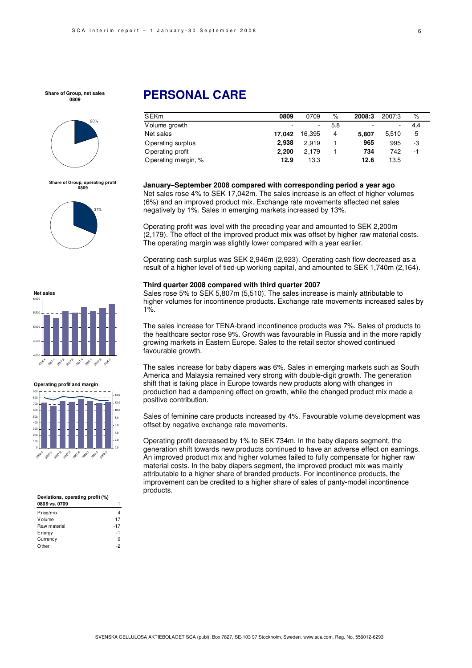

**Share of Group, operating profit 0809**





**Operating profit and margin**



#### **Deviations, operating profit (%)**

| 0809 vs. 0709 |       |
|---------------|-------|
| Price/mix     | 4     |
| Volume        | 17    |
| Raw material  | $-17$ |
| Energy        | -1    |
| Currency      | 0     |
| Other         | 2     |

# **PERSONAL CARE**

| <b>SEKm</b>         | 0809   | 0709   | %   | 2008:3 | 2007:3 | %   |
|---------------------|--------|--------|-----|--------|--------|-----|
| Volume growth       |        | ۰.     | 5.8 | ۰      |        | 4.4 |
| Net sales           | 17.042 | 16.395 | 4   | 5.807  | 5.510  | 5   |
| Operating surplus   | 2.938  | 2.919  |     | 965    | 995    | -3  |
| Operating profit    | 2.200  | 2.179  |     | 734    | 742    | - 1 |
| Operating margin, % | 12.9   | 13.3   |     | 12.6   | 13.5   |     |

**January–September 2008 compared with corresponding period a year ago** 

Net sales rose 4% to SEK 17,042m. The sales increase is an effect of higher volumes (6%) and an improved product mix. Exchange rate movements affected net sales negatively by 1%. Sales in emerging markets increased by 13%.

Operating profit was level with the preceding year and amounted to SEK 2,200m (2,179). The effect of the improved product mix was offset by higher raw material costs. The operating margin was slightly lower compared with a year earlier.

Operating cash surplus was SEK 2,946m (2,923). Operating cash flow decreased as a result of a higher level of tied-up working capital, and amounted to SEK 1,740m (2,164).

#### **Third quarter 2008 compared with third quarter 2007**

Sales rose 5% to SEK 5,807m (5,510). The sales increase is mainly attributable to higher volumes for incontinence products. Exchange rate movements increased sales by 1%.

The sales increase for TENA-brand incontinence products was 7%. Sales of products to the healthcare sector rose 9%. Growth was favourable in Russia and in the more rapidly growing markets in Eastern Europe. Sales to the retail sector showed continued favourable growth.

The sales increase for baby diapers was 6%. Sales in emerging markets such as South America and Malaysia remained very strong with double-digit growth. The generation shift that is taking place in Europe towards new products along with changes in production had a dampening effect on growth, while the changed product mix made a positive contribution.

Sales of feminine care products increased by 4%. Favourable volume development was offset by negative exchange rate movements.

Operating profit decreased by 1% to SEK 734m. In the baby diapers segment, the generation shift towards new products continued to have an adverse effect on earnings. An improved product mix and higher volumes failed to fully compensate for higher raw material costs. In the baby diapers segment, the improved product mix was mainly attributable to a higher share of branded products. For incontinence products, the improvement can be credited to a higher share of sales of panty-model incontinence products.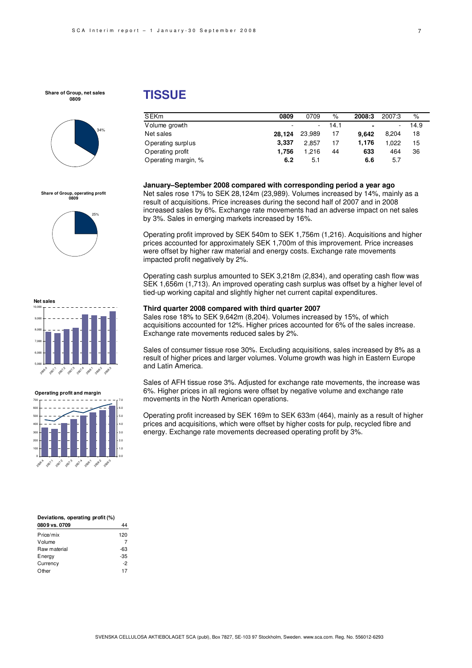

## **Share of Group, operating profit 0809**







| Deviations, operating profit (%) |       |
|----------------------------------|-------|
| 0809 vs. 0709                    |       |
| Price/mix                        | 120   |
| Volume                           |       |
| Raw material                     | -63   |
| Energy                           | $-35$ |
| Currency                         | -2    |
| Other                            | 17    |

# **TISSUE**

| SEKm                | 0809   | 0709   | $\%$ | 2008:3                   | 2007:3 | %    |
|---------------------|--------|--------|------|--------------------------|--------|------|
| Volume growth       |        | $\sim$ | 14.1 | $\overline{\phantom{0}}$ | ۰      | 14.9 |
| Net sales           | 28.124 | 23,989 | 17   | 9.642                    | 8.204  | 18   |
| Operating surplus   | 3.337  | 2.857  | 17   | 1.176                    | 1.022  | 15   |
| Operating profit    | 1.756  | 1.216  | 44   | 633                      | 464    | 36   |
| Operating margin, % | 6.2    | 5.1    |      | 6.6                      | 5.7    |      |

#### **January–September 2008 compared with corresponding period a year ago**

Net sales rose 17% to SEK 28,124m (23,989). Volumes increased by 14%, mainly as a result of acquisitions. Price increases during the second half of 2007 and in 2008 increased sales by 6%. Exchange rate movements had an adverse impact on net sales by 3%. Sales in emerging markets increased by 16%.

Operating profit improved by SEK 540m to SEK 1,756m (1,216). Acquisitions and higher prices accounted for approximately SEK 1,700m of this improvement. Price increases were offset by higher raw material and energy costs. Exchange rate movements impacted profit negatively by 2%.

Operating cash surplus amounted to SEK 3,218m (2,834), and operating cash flow was SEK 1,656m (1,713). An improved operating cash surplus was offset by a higher level of tied-up working capital and slightly higher net current capital expenditures.

#### **Third quarter 2008 compared with third quarter 2007**

Sales rose 18% to SEK 9,642m (8,204). Volumes increased by 15%, of which acquisitions accounted for 12%. Higher prices accounted for 6% of the sales increase. Exchange rate movements reduced sales by 2%.

Sales of consumer tissue rose 30%. Excluding acquisitions, sales increased by 8% as a result of higher prices and larger volumes. Volume growth was high in Eastern Europe and Latin America.

Sales of AFH tissue rose 3%. Adjusted for exchange rate movements, the increase was 6%. Higher prices in all regions were offset by negative volume and exchange rate movements in the North American operations.

Operating profit increased by SEK 169m to SEK 633m (464), mainly as a result of higher prices and acquisitions, which were offset by higher costs for pulp, recycled fibre and energy. Exchange rate movements decreased operating profit by 3%.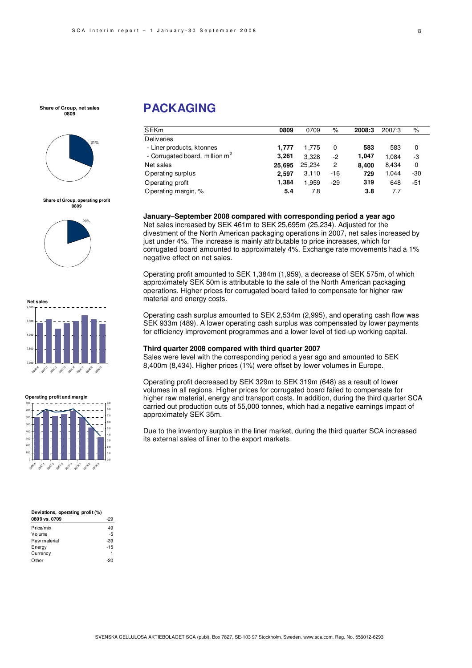

**Share of Group, operating profit 0809**







| Deviations, operating profit (%) |       |
|----------------------------------|-------|
| 0809 vs. 0709                    | -29   |
| Price/mix                        | 49    |
| Volume                           | $-5$  |
| Raw material                     | -39   |
| Energy                           | $-15$ |
| Currency                         | 1     |
| Other                            |       |

# **PACKAGING**

| <b>SEKm</b>                                | 0809   | 0709   | %     | 2008:3 | 2007:3 | %     |
|--------------------------------------------|--------|--------|-------|--------|--------|-------|
| <b>Deliveries</b>                          |        |        |       |        |        |       |
| - Liner products, ktonnes                  | 1.777  | 1.775  | 0     | 583    | 583    | 0     |
| - Corrugated board, million m <sup>2</sup> | 3.261  | 3.328  | -2    | 1.047  | 1.084  | -3    |
| Net sales                                  | 25,695 | 25.234 | 2     | 8.400  | 8.434  | 0     |
| Operating surplus                          | 2.597  | 3,110  | -16   | 729    | 1.044  | -30   |
| Operating profit                           | 1,384  | 1,959  | $-29$ | 319    | 648    | $-51$ |
| Operating margin, %                        | 5.4    | 7.8    |       | 3.8    | 7.7    |       |

**January–September 2008 compared with corresponding period a year ago** 

Net sales increased by SEK 461m to SEK 25,695m (25,234). Adjusted for the divestment of the North American packaging operations in 2007, net sales increased by just under 4%. The increase is mainly attributable to price increases, which for corrugated board amounted to approximately 4%. Exchange rate movements had a 1% negative effect on net sales.

Operating profit amounted to SEK 1,384m (1,959), a decrease of SEK 575m, of which approximately SEK 50m is attributable to the sale of the North American packaging operations. Higher prices for corrugated board failed to compensate for higher raw material and energy costs.

Operating cash surplus amounted to SEK 2,534m (2,995), and operating cash flow was SEK 933m (489). A lower operating cash surplus was compensated by lower payments for efficiency improvement programmes and a lower level of tied-up working capital.

#### **Third quarter 2008 compared with third quarter 2007**

Sales were level with the corresponding period a year ago and amounted to SEK 8,400m (8,434). Higher prices (1%) were offset by lower volumes in Europe.

Operating profit decreased by SEK 329m to SEK 319m (648) as a result of lower volumes in all regions. Higher prices for corrugated board failed to compensate for higher raw material, energy and transport costs. In addition, during the third quarter SCA carried out production cuts of 55,000 tonnes, which had a negative earnings impact of approximately SEK 35m.

Due to the inventory surplus in the liner market, during the third quarter SCA increased its external sales of liner to the export markets.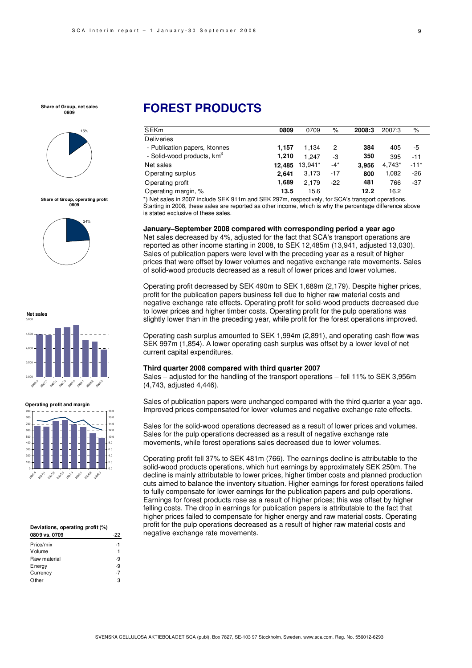

**Share of Group, operating profit 0809**





#### **Operating profit and margin**



#### **Deviations, operating profit (%)**  0809 vs. 0709

| Price/mix    | -1 |
|--------------|----|
| Volume       | 1  |
| Raw material | -9 |
| Energy       | -9 |
| Currency     | -7 |
| Other        | 3  |
|              |    |

# **FOREST PRODUCTS**

| <b>SEKm</b>                            | 0809   | 0709    | %     | 2008:3 | 2007:3 | %      |
|----------------------------------------|--------|---------|-------|--------|--------|--------|
| <b>Deliveries</b>                      |        |         |       |        |        |        |
| - Publication papers, ktonnes          | 1.157  | 1.134   | 2     | 384    | 405    | -5     |
| - Solid-wood products, km <sup>3</sup> | 1.210  | 1.247   | -3    | 350    | 395    | $-11$  |
| Net sales                              | 12.485 | 13.941* | $-4*$ | 3.956  | 4.743* | $-11*$ |
| Operating surplus                      | 2.641  | 3,173   | $-17$ | 800    | 1,082  | $-26$  |
| Operating profit                       | 1,689  | 2.179   | $-22$ | 481    | 766    | $-37$  |
| Operating margin, %                    | 13.5   | 15.6    |       | 12.2   | 16.2   |        |

\*) Net sales in 2007 include SEK 911m and SEK 297m, respectively, for SCA's transport operations. Starting in 2008, these sales are reported as other income, which is why the percentage difference above is stated exclusive of these sales.

#### **January–September 2008 compared with corresponding period a year ago**

Net sales decreased by 4%, adjusted for the fact that SCA's transport operations are reported as other income starting in 2008, to SEK 12,485m (13,941, adjusted 13,030). Sales of publication papers were level with the preceding year as a result of higher prices that were offset by lower volumes and negative exchange rate movements. Sales of solid-wood products decreased as a result of lower prices and lower volumes.

Operating profit decreased by SEK 490m to SEK 1,689m (2,179). Despite higher prices, profit for the publication papers business fell due to higher raw material costs and negative exchange rate effects. Operating profit for solid-wood products decreased due to lower prices and higher timber costs. Operating profit for the pulp operations was slightly lower than in the preceding year, while profit for the forest operations improved.

Operating cash surplus amounted to SEK 1,994m (2,891), and operating cash flow was SEK 997m (1,854). A lower operating cash surplus was offset by a lower level of net current capital expenditures.

#### **Third quarter 2008 compared with third quarter 2007**

Sales – adjusted for the handling of the transport operations – fell 11% to SEK 3,956m (4,743, adjusted 4,446).

Sales of publication papers were unchanged compared with the third quarter a year ago. Improved prices compensated for lower volumes and negative exchange rate effects.

Sales for the solid-wood operations decreased as a result of lower prices and volumes. Sales for the pulp operations decreased as a result of negative exchange rate movements, while forest operations sales decreased due to lower volumes.

Operating profit fell 37% to SEK 481m (766). The earnings decline is attributable to the solid-wood products operations, which hurt earnings by approximately SEK 250m. The decline is mainly attributable to lower prices, higher timber costs and planned production cuts aimed to balance the inventory situation. Higher earnings for forest operations failed to fully compensate for lower earnings for the publication papers and pulp operations. Earnings for forest products rose as a result of higher prices; this was offset by higher felling costs. The drop in earnings for publication papers is attributable to the fact that higher prices failed to compensate for higher energy and raw material costs. Operating profit for the pulp operations decreased as a result of higher raw material costs and negative exchange rate movements.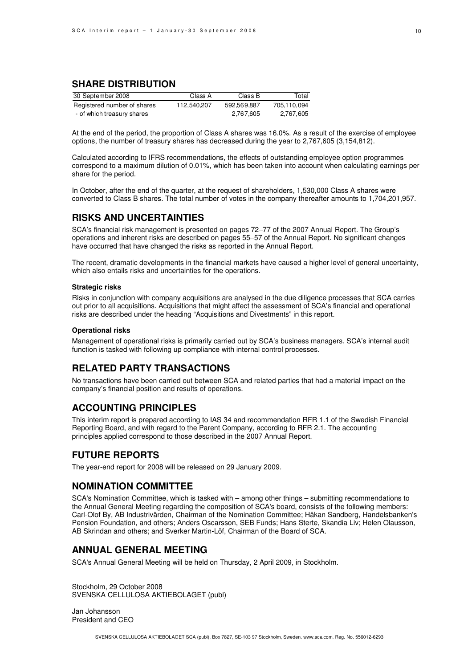## **SHARE DISTRIBUTION**

| 30 September 2008           | Class A     | Class B     | Total       |
|-----------------------------|-------------|-------------|-------------|
| Registered number of shares | 112,540,207 | 592,569,887 | 705.110.094 |
| - of which treasury shares  |             | 2,767,605   | 2,767,605   |

At the end of the period, the proportion of Class A shares was 16.0%. As a result of the exercise of employee options, the number of treasury shares has decreased during the year to 2,767,605 (3,154,812).

Calculated according to IFRS recommendations, the effects of outstanding employee option programmes correspond to a maximum dilution of 0.01%, which has been taken into account when calculating earnings per share for the period.

In October, after the end of the quarter, at the request of shareholders, 1,530,000 Class A shares were converted to Class B shares. The total number of votes in the company thereafter amounts to 1,704,201,957.

## **RISKS AND UNCERTAINTIES**

SCA's financial risk management is presented on pages 72–77 of the 2007 Annual Report. The Group's operations and inherent risks are described on pages 55–57 of the Annual Report. No significant changes have occurred that have changed the risks as reported in the Annual Report.

The recent, dramatic developments in the financial markets have caused a higher level of general uncertainty, which also entails risks and uncertainties for the operations.

#### **Strategic risks**

Risks in conjunction with company acquisitions are analysed in the due diligence processes that SCA carries out prior to all acquisitions. Acquisitions that might affect the assessment of SCA's financial and operational risks are described under the heading "Acquisitions and Divestments" in this report.

#### **Operational risks**

Management of operational risks is primarily carried out by SCA's business managers. SCA's internal audit function is tasked with following up compliance with internal control processes.

## **RELATED PARTY TRANSACTIONS**

No transactions have been carried out between SCA and related parties that had a material impact on the company's financial position and results of operations.

## **ACCOUNTING PRINCIPLES**

This interim report is prepared according to IAS 34 and recommendation RFR 1.1 of the Swedish Financial Reporting Board, and with regard to the Parent Company, according to RFR 2.1. The accounting principles applied correspond to those described in the 2007 Annual Report.

## **FUTURE REPORTS**

The year-end report for 2008 will be released on 29 January 2009.

## **NOMINATION COMMITTEE**

SCA's Nomination Committee, which is tasked with – among other things – submitting recommendations to the Annual General Meeting regarding the composition of SCA's board, consists of the following members: Carl-Olof By, AB Industrivärden, Chairman of the Nomination Committee; Håkan Sandberg, Handelsbanken's Pension Foundation, and others; Anders Oscarsson, SEB Funds; Hans Sterte, Skandia Liv; Helen Olausson, AB Skrindan and others; and Sverker Martin-Löf, Chairman of the Board of SCA.

## **ANNUAL GENERAL MEETING**

SCA's Annual General Meeting will be held on Thursday, 2 April 2009, in Stockholm.

Stockholm, 29 October 2008 SVENSKA CELLULOSA AKTIEBOLAGET (publ)

Jan Johansson President and CEO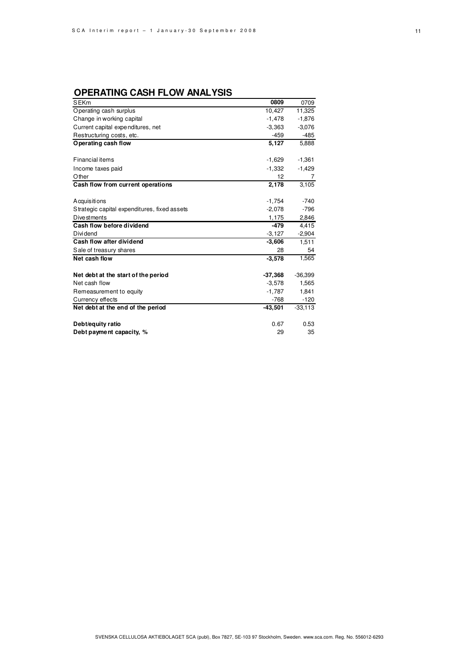## **OPERATING CASH FLOW ANALYSIS**

| <b>SEKm</b>                                  | 0809      | 0709      |
|----------------------------------------------|-----------|-----------|
| Operating cash surplus                       | 10,427    | 11,325    |
| Change in working capital                    | $-1,478$  | $-1,876$  |
| Current capital expenditures, net            | $-3,363$  | $-3,076$  |
| Restructuring costs, etc.                    | $-459$    | $-485$    |
| Operating cash flow                          | 5,127     | 5,888     |
|                                              |           |           |
| <b>Financial items</b>                       | $-1,629$  | $-1,361$  |
| Income taxes paid                            | $-1,332$  | $-1,429$  |
| Other                                        | 12        | 7         |
| Cash flow from current operations            | 2,178     | 3,105     |
|                                              |           |           |
| Acquisitions                                 | $-1,754$  | $-740$    |
| Strategic capital expenditures, fixed assets | $-2,078$  | $-796$    |
| Dive stments                                 | 1,175     | 2,846     |
| Cash flow before dividend                    | $-479$    | 4,415     |
| Dividend                                     | $-3,127$  | $-2,904$  |
| Cash flow after dividend                     | $-3,606$  | 1.511     |
| Sale of treasury shares                      | 28        | 54        |
| Net cash flow                                | $-3,578$  | 1,565     |
| Net debt at the start of the period          | $-37,368$ | $-36,399$ |
| Net cash flow                                | $-3,578$  | 1,565     |
| Remeasurement to equity                      | $-1.787$  | 1,841     |
| Currency effects                             | $-768$    | $-120$    |
| Net debt at the end of the period            | $-43,501$ | $-33,113$ |
| Debt/equity ratio                            | 0.67      | 0.53      |
| Debt payment capacity, %                     | 29        | 35        |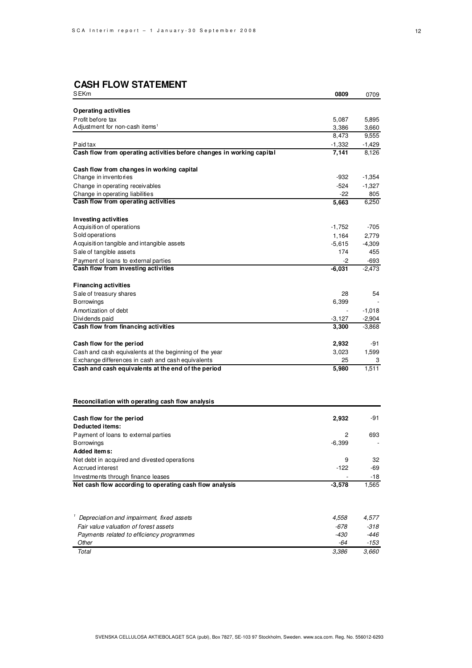## **CASH FLOW STATEMENT**

| <b>SEKm</b>                                                                       | 0809              | 0709             |
|-----------------------------------------------------------------------------------|-------------------|------------------|
|                                                                                   |                   |                  |
| Operating activities                                                              |                   |                  |
| Profit before tax<br>Adjustment for non-cash items <sup>1</sup>                   | 5,087             | 5,895            |
|                                                                                   | 3,386<br>8,473    | 3,660<br>9,555   |
|                                                                                   |                   |                  |
| Paid tax<br>Cash flow from operating activities before changes in working capital | $-1,332$<br>7,141 | -1,429<br>8,126  |
|                                                                                   |                   |                  |
| Cash flow from changes in working capital                                         |                   |                  |
| Change in inventories                                                             | -932              | $-1,354$         |
| Change in operating receivables                                                   | $-524$            | $-1,327$         |
| Change in operating liabilities                                                   | -22               | 805              |
| Cash flow from operating activities                                               | 5,663             | 6,250            |
|                                                                                   |                   |                  |
| <b>Investing activities</b>                                                       |                   |                  |
| Acquisition of operations                                                         | $-1,752$          | $-705$           |
| Sold operations                                                                   | 1,164             | 2,779            |
| Acquisition tangible and intangible assets                                        | $-5,615$<br>174   | $-4,309$<br>455  |
| Sale of tangible assets                                                           | -2                |                  |
| Payment of loans to external parties<br>Cash flow from investing activities       | $-6,031$          | -693<br>$-2,473$ |
|                                                                                   |                   |                  |
| <b>Financing activities</b>                                                       |                   |                  |
| Sale of treasury shares                                                           | 28                | 54               |
| <b>B</b> orrowings                                                                | 6,399             |                  |
| A mortization of debt                                                             |                   | $-1,018$         |
| Dividends paid                                                                    | $-3,127$          | $-2,904$         |
| Cash flow from financing activities                                               | 3,300             | $-3,868$         |
| Cash flow for the period                                                          | 2,932             | -91              |
| Cash and cash equivalents at the beginning of the year                            | 3,023             | 1,599            |
| Exchange differences in cash and cash equivalents                                 | 25                | 3                |
| Cash and cash equivalents at the end of the period                                | 5,980             | 1,511            |
|                                                                                   |                   |                  |
| Reconciliation with operating cash flow analysis                                  |                   |                  |
|                                                                                   |                   |                  |
| Cash flow for the period<br>Deducted items:                                       | 2,932             | -91              |
| Payment of loans to external parties                                              | 2                 | 693              |
| <b>B</b> orrowings                                                                | $-6,399$          |                  |
| Added items:                                                                      |                   |                  |
| Net debt in acquired and divested operations                                      | 9                 | 32               |
| Accrued interest                                                                  | $-122$            | -69              |
| Investments through finance leases                                                |                   | -18              |
| Net cash flow according to operating cash flow analysis                           | $-3,578$          | 1,565            |
|                                                                                   |                   |                  |
| Depreciation and impairment, fixed assets                                         | 4,558             | 4,577            |
| Fair value valuation of forest assets                                             | $-678$            | $-318$           |
| Payments related to efficiency programmes                                         | -430              | $-446$           |
| Other                                                                             | -64               | -153             |
| Total                                                                             | 3,386             | 3,660            |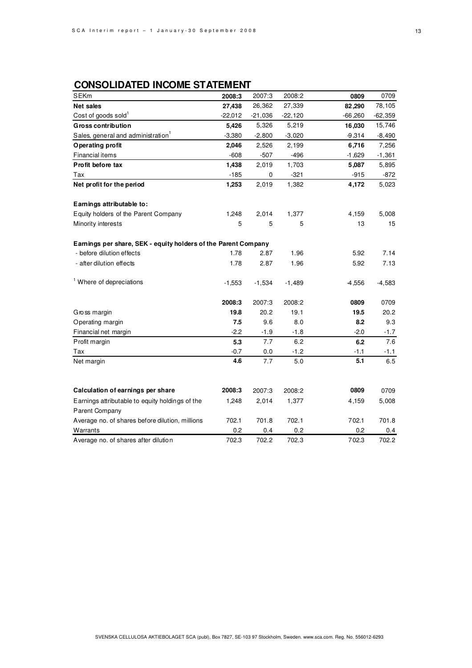## **CONSOLIDATED INCOME STATEMENT**

| <b>SEKm</b>                                                    | 2008:3    | 2007:3    | 2008:2    | 0809      | 0709      |
|----------------------------------------------------------------|-----------|-----------|-----------|-----------|-----------|
| <b>Net sales</b>                                               | 27,438    | 26,362    | 27,339    | 82,290    | 78,105    |
| Cost of goods sold <sup>1</sup>                                | $-22,012$ | $-21,036$ | $-22,120$ | $-66,260$ | $-62,359$ |
| <b>Gross contribution</b>                                      | 5,426     | 5,326     | 5,219     | 16,030    | 15,746    |
| Sales, general and administration <sup>1</sup>                 | $-3,380$  | $-2,800$  | $-3,020$  | $-9,314$  | $-8,490$  |
| Operating profit                                               | 2,046     | 2,526     | 2,199     | 6,716     | 7,256     |
| Financial items                                                | $-608$    | $-507$    | $-496$    | $-1,629$  | $-1,361$  |
| Profit before tax                                              | 1,438     | 2,019     | 1,703     | 5,087     | 5,895     |
| Tax                                                            | $-185$    | 0         | $-321$    | $-915$    | $-872$    |
| Net profit for the period                                      | 1,253     | 2,019     | 1,382     | 4,172     | 5,023     |
| Earnings attributable to:                                      |           |           |           |           |           |
| Equity holders of the Parent Company                           | 1,248     | 2,014     | 1,377     | 4,159     | 5,008     |
| Minority interests                                             | 5         | 5         | 5         | 13        | 15        |
| Earnings per share, SEK - equity holders of the Parent Company |           |           |           |           |           |
| - before dilution effects                                      | 1.78      | 2.87      | 1.96      | 5.92      | 7.14      |
| - after dilution effects                                       | 1.78      | 2.87      | 1.96      | 5.92      | 7.13      |
| <sup>1</sup> Where of depreciations                            | $-1,553$  | $-1,534$  | $-1,489$  | -4,556    | $-4,583$  |
|                                                                | 2008:3    | 2007:3    | 2008:2    | 0809      | 0709      |
| Gross margin                                                   | 19.8      | 20.2      | 19.1      | 19.5      | 20.2      |
| Operating margin                                               | 7.5       | 9.6       | 8.0       | 8.2       | 9.3       |
| Financial net margin                                           | $-2.2$    | $-1.9$    | $-1.8$    | $-2.0$    | $-1.7$    |
| Profit margin                                                  | 5.3       | 7.7       | 6.2       | 6.2       | 7.6       |
| Tax                                                            | $-0.7$    | 0.0       | $-1.2$    | $-1.1$    | $-1.1$    |
| Net margin                                                     | 4.6       | 7.7       | 5.0       | 5.1       | 6.5       |
|                                                                |           |           |           |           |           |
| Calculation of earnings per share                              | 2008:3    | 2007:3    | 2008:2    | 0809      | 0709      |
| Earnings attributable to equity holdings of the                | 1,248     | 2,014     | 1,377     | 4,159     | 5,008     |
| Parent Company                                                 |           |           |           |           |           |
| Average no. of shares before dilution, millions                | 702.1     | 701.8     | 702.1     | 702.1     | 701.8     |
| Warrants                                                       | 0.2       | 0.4       | 0.2       | 0.2       | 0.4       |
| Average no. of shares after dilution                           | 702.3     | 702.2     | 702.3     | 702.3     | 702.2     |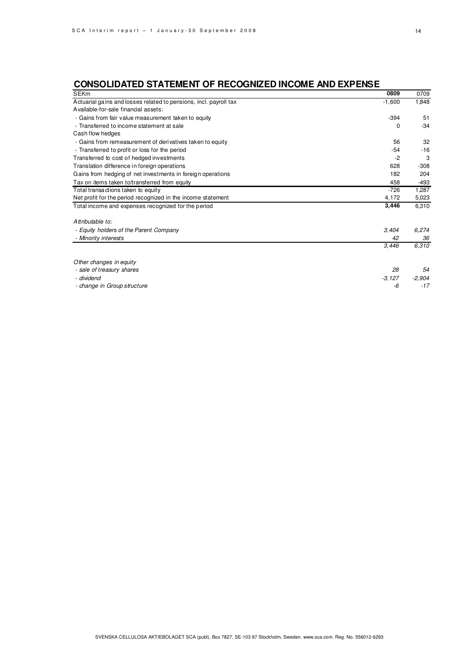# **CONSOLIDATED STATEMENT OF RECOGNIZED INCOME AND EXPENSE**

| <b>SEKm</b>                                                       | 0809     | 0709     |
|-------------------------------------------------------------------|----------|----------|
| Actuarial gains and losses related to pensions, incl. payroll tax | $-1,600$ | 1,848    |
| Available-for-sale financial assets:                              |          |          |
| - Gains from fair value measurement taken to equity               | $-394$   | 51       |
| - Transferred to income statement at sale                         | 0        | $-34$    |
| Cash flow hedges                                                  |          |          |
| - Gains from remeasurement of derivatives taken to equity         | 56       | 32       |
| - Transferred to profit or loss for the period                    | -54      | $-16$    |
| Transferred to cost of hedged investments                         | -2       | 3        |
| Translation difference in foreign operations                      | 628      | $-308$   |
| Gains from hedging of net investments in foreign operations       | 182      | 204      |
| Tax on items taken to/transferred from equity                     | 458      | $-493$   |
| Total transactions taken to equity                                | $-726$   | 1,287    |
| Net profit for the period recognized in the income statement      | 4,172    | 5,023    |
| Total income and expenses recognized for the period               | 3,446    | 6,310    |
| Attributable to:                                                  |          |          |
| - Equity holders of the Parent Company                            | 3,404    | 6,274    |
| - Minority interests                                              | 42       | 36       |
|                                                                   | 3,446    | 6,310    |
| Other changes in equity                                           |          |          |
| - sale of treasury shares                                         | 28       | 54       |
| - dividend                                                        | $-3,127$ | $-2,904$ |
| - change in Group structure                                       | -6       | $-17$    |

SVENSKA CELLULOSA AKTIEBOLAGET SCA (publ), Box 7827, SE-103 97 Stockholm, Sweden. www.sca.com. Reg. No. 556012-6293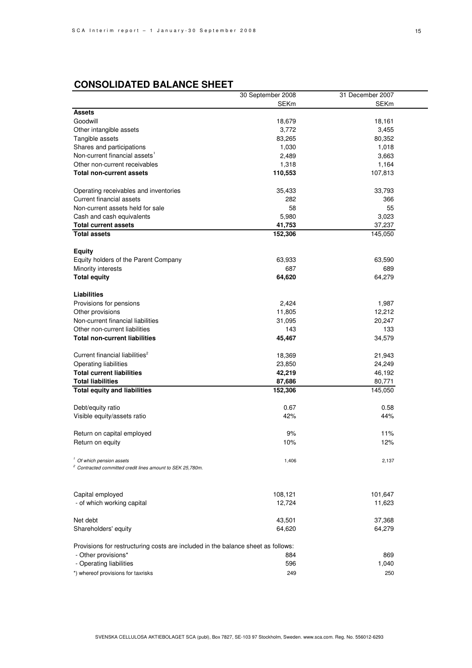|                                                                                                  | 30 September 2008 | 31 December 2007 |
|--------------------------------------------------------------------------------------------------|-------------------|------------------|
|                                                                                                  | <b>SEKm</b>       | <b>SEKm</b>      |
| <b>Assets</b>                                                                                    |                   |                  |
| Goodwill                                                                                         | 18,679            | 18,161           |
| Other intangible assets                                                                          | 3,772             | 3,455            |
| Tangible assets                                                                                  | 83,265            | 80,352           |
| Shares and participations                                                                        | 1,030             | 1,018            |
| Non-current financial assets <sup>1</sup>                                                        | 2,489             | 3,663            |
| Other non-current receivables                                                                    | 1,318             | 1,164            |
| Total non-current assets                                                                         | 110,553           | 107,813          |
| Operating receivables and inventories                                                            | 35,433            | 33,793           |
| <b>Current financial assets</b>                                                                  | 282               | 366              |
| Non-current assets held for sale                                                                 | 58                | 55               |
| Cash and cash equivalents                                                                        | 5,980             | 3,023            |
| <b>Total current assets</b>                                                                      | 41,753            | 37,237           |
| <b>Total assets</b>                                                                              | 152,306           | 145,050          |
| <b>Equity</b>                                                                                    |                   |                  |
| Equity holders of the Parent Company                                                             | 63,933            | 63,590           |
| Minority interests                                                                               | 687               | 689              |
| <b>Total equity</b>                                                                              | 64,620            | 64,279           |
| <b>Liabilities</b>                                                                               |                   |                  |
| Provisions for pensions                                                                          | 2,424             | 1,987            |
| Other provisions                                                                                 | 11,805            | 12,212           |
| Non-current financial liabilities                                                                | 31,095            | 20,247           |
| Other non-current liabilities                                                                    | 143               | 133              |
| <b>Total non-current liabilities</b>                                                             | 45,467            | 34,579           |
| Current financial liabilities <sup>2</sup>                                                       | 18,369            | 21,943           |
| <b>Operating liabilities</b>                                                                     | 23,850            | 24,249           |
| <b>Total current liabilities</b>                                                                 | 42,219            | 46,192           |
| <b>Total liabilities</b>                                                                         | 87,686            | 80,771           |
| <b>Total equity and liabilities</b>                                                              | 152,306           | 145,050          |
| Debt/equity ratio                                                                                | 0.67              | 0.58             |
| Visible equity/assets ratio                                                                      | 42%               | 44%              |
| Return on capital employed                                                                       | 9%                | 11%              |
| Return on equity                                                                                 | 10%               | 12%              |
| Of which pension assets<br><sup>2</sup> Contracted committed credit lines amount to SEK 25,780m. | 1,406             | 2,137            |
|                                                                                                  |                   |                  |
| Capital employed                                                                                 | 108,121           | 101,647          |
| - of which working capital                                                                       | 12,724            | 11,623           |
| Net debt                                                                                         | 43,501            | 37,368           |
| Shareholders' equity                                                                             | 64,620            | 64,279           |
| Provisions for restructuring costs are included in the balance sheet as follows:                 |                   |                  |
| - Other provisions*                                                                              | 884               | 869              |
| - Operating liabilities                                                                          | 596               | 1,040            |
| *) whereof provisions for taxrisks                                                               | 249               | 250              |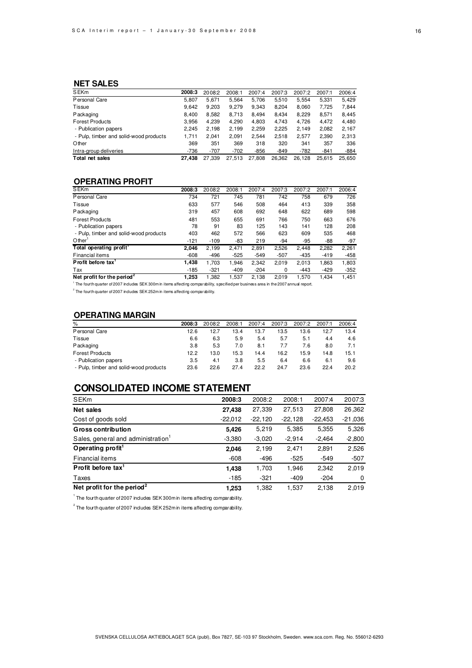### **NET SALES**

| <b>SEKm</b>                            | 2008:3 | 2008:2 | 2008:1 | 2007:4 | 2007:3 | 2007:2 | 2007:1 | 2006:4 |
|----------------------------------------|--------|--------|--------|--------|--------|--------|--------|--------|
| Personal Care                          | 5.807  | 5.671  | 5.564  | 5.706  | 5,510  | 5.554  | 5.331  | 5.429  |
| Tissue                                 | 9.642  | 9,203  | 9.279  | 9.343  | 8,204  | 8,060  | 7,725  | 7,844  |
| Packaging                              | 8.400  | 8.582  | 8.713  | 8.494  | 8.434  | 8.229  | 8.571  | 8.445  |
| <b>Forest Products</b>                 | 3.956  | 4,239  | 4,290  | 4,803  | 4.743  | 4.726  | 4,472  | 4,480  |
| - Publication papers                   | 2.245  | 2.198  | 2,199  | 2,259  | 2,225  | 2.149  | 2,082  | 2,167  |
| - Pulp, timber and solid-wood products | 1.711  | 2.041  | 2.091  | 2.544  | 2.518  | 2.577  | 2.390  | 2,313  |
| Other                                  | 369    | 351    | 369    | 318    | 320    | 341    | 357    | 336    |
| Intra-group deliveries                 | -736   | $-707$ | $-702$ | $-856$ | $-849$ | $-782$ | $-841$ | $-884$ |
| Total net sales                        | 27.438 | 27.339 | 27.513 | 27,808 | 26.362 | 26,128 | 25.615 | 25.650 |

### **OPERATING PROFIT**

| <b>SEKm</b>                                                                                                                                       | 2008:3 | 2008:2 | 2008:1 | 2007:4 | 2007:3   | 2007:2 | 2007:1 | 2006:4 |
|---------------------------------------------------------------------------------------------------------------------------------------------------|--------|--------|--------|--------|----------|--------|--------|--------|
| Personal Care                                                                                                                                     | 734    | 721    | 745    | 781    | 742      | 758    | 679    | 726    |
| Tissue                                                                                                                                            | 633    | 577    | 546    | 508    | 464      | 413    | 339    | 358    |
| Packaging                                                                                                                                         | 319    | 457    | 608    | 692    | 648      | 622    | 689    | 598    |
| <b>Forest Products</b>                                                                                                                            | 481    | 553    | 655    | 691    | 766      | 750    | 663    | 676    |
| - Publication papers                                                                                                                              | 78     | 91     | 83     | 125    | 143      | 141    | 128    | 208    |
| - Pulp, timber and solid-wood products                                                                                                            | 403    | 462    | 572    | 566    | 623      | 609    | 535    | 468    |
| Other                                                                                                                                             | $-121$ | $-109$ | -83    | 219    | -94      | -95    | -88    | $-97$  |
| Total operating profit                                                                                                                            | 2.046  | 2.199  | 2.471  | 2.891  | 2,526    | 2.448  | 2,282  | 2,261  |
| Financial items                                                                                                                                   | $-608$ | -496   | $-525$ | $-549$ | $-507$   | $-435$ | $-419$ | $-458$ |
| Profit before tax                                                                                                                                 | 1.438  | 1.703  | 1.946  | 2.342  | 2.019    | 2.013  | 1.863  | 1,803  |
| Tax                                                                                                                                               | $-185$ | $-321$ | $-409$ | $-204$ | $\Omega$ | $-443$ | $-429$ | $-352$ |
| Net profit for the period <sup>2</sup>                                                                                                            | 1.253  | 1.382  | 1.537  | 2.138  | 2.019    | 1.570  | 1.434  | 1.451  |
| <sup>1</sup> The fourth quarter of 2007 indudes SEK 300m in items affecting comparability, specified per business area in the 2007 annual report. |        |        |        |        |          |        |        |        |

 $2$  The fourth quarter of 2007 includes SEK 252m in items affecting comparability.

### **OPERATING MARGIN**

| %                                      | 2008:3 | 2008:2 | 2008:1 | 2007:4 | 2007:3 | 2007:2 | 2007:1 | 2006:4 |
|----------------------------------------|--------|--------|--------|--------|--------|--------|--------|--------|
| Personal Care                          | 12.6   | 12.7   | 13.4   | 13.7   | 13.5   | 13.6   | 12.7   | 13.4   |
| Tissue                                 | 6.6    | 6.3    | 5.9    | 5.4    | 5.7    | 5.1    | 4.4    | 4.6    |
| Packaging                              | 3.8    | 5.3    | 7.0    | 8.1    | 7.7    | 7.6    | 8.0    | 7.1    |
| <b>Forest Products</b>                 | 12.2   | 13.0   | 15.3   | 14.4   | 16.2   | 15.9   | 14.8   | 15.1   |
| - Publication papers                   | 3.5    | 4.1    | 3.8    | 5.5    | 6.4    | 6.6    | 6.1    | 9.6    |
| - Pulp, timber and solid-wood products | 23.6   | 22.6   | 27.4   | 22.2   | 24.7   | 23.6   | 22.4   | 20.2   |

## **CONSOLIDATED INCOME STATEMENT**

| SEKm                                   | 2008:3    | 2008:2    | 2008:1    | 2007:4    | 2007:3    |
|----------------------------------------|-----------|-----------|-----------|-----------|-----------|
| Net sales                              | 27,438    | 27,339    | 27,513    | 27,808    | 26,362    |
| Cost of goods sold                     | $-22,012$ | $-22,120$ | $-22,128$ | $-22,453$ | $-21,036$ |
| <b>Gross contribution</b>              | 5,426     | 5,219     | 5,385     | 5,355     | 5,326     |
| Sales, general and administration      | $-3,380$  | $-3,020$  | $-2,914$  | $-2,464$  | $-2,800$  |
| Operating profit <sup>1</sup>          | 2.046     | 2,199     | 2,471     | 2,891     | 2,526     |
| Financial items                        | $-608$    | $-496$    | $-525$    | $-549$    | $-507$    |
| Profit before tax <sup>1</sup>         | 1,438     | 1,703     | 1,946     | 2,342     | 2,019     |
| Taxes                                  | $-185$    | $-321$    | $-409$    | $-204$    | 0         |
| Net profit for the period <sup>2</sup> | 1,253     | 1,382     | 1,537     | 2,138     | 2,019     |

 $1$  The fourth quarter of 2007 includes SEK 300m in items affecting comparability.

 $^2$  The fourth quarter of 2007 includes SEK 252m in items affecting comparability.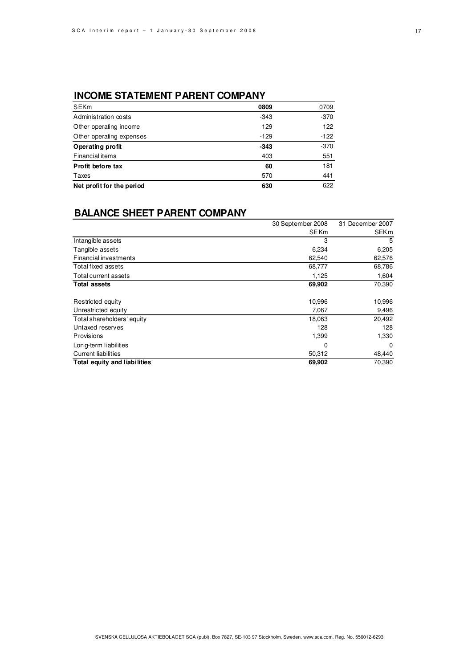## **INCOME STATEMENT PARENT COMPANY**

| <b>SEKm</b>               | 0809   | 0709   |
|---------------------------|--------|--------|
| Administration costs      | $-343$ | $-370$ |
| Other operating income    | 129    | 122    |
| Other operating expenses  | $-129$ | $-122$ |
| Operating profit          | $-343$ | $-370$ |
| Financial items           | 403    | 551    |
| Profit before tax         | 60     | 181    |
| Taxes                     | 570    | 441    |
| Net profit for the period | 630    | 622    |

## **BALANCE SHEET PARENT COMPANY**

|                              | 30 September 2008 | 31 December 2007 |
|------------------------------|-------------------|------------------|
|                              | <b>SEKm</b>       | <b>SEKm</b>      |
| Intangible assets            | 3                 | 5                |
| Tangible assets              | 6,234             | 6,205            |
| Financial investments        | 62,540            | 62,576           |
| Total fixed assets           | 68,777            | 68,786           |
| Total current assets         | 1,125             | 1,604            |
| <b>Total assets</b>          | 69,902            | 70,390           |
| Restricted equity            | 10,996            | 10,996           |
| Unrestricted equity          | 7,067             | 9,496            |
| Total shareholders' equity   | 18,063            | 20,492           |
| Untaxed reserves             | 128               | 128              |
| <b>Provisions</b>            | 1,399             | 1,330            |
| Long-term liabilities        | 0                 | $\Omega$         |
| <b>Current liabilities</b>   | 50,312            | 48,440           |
| Total equity and liabilities | 69,902            | 70,390           |